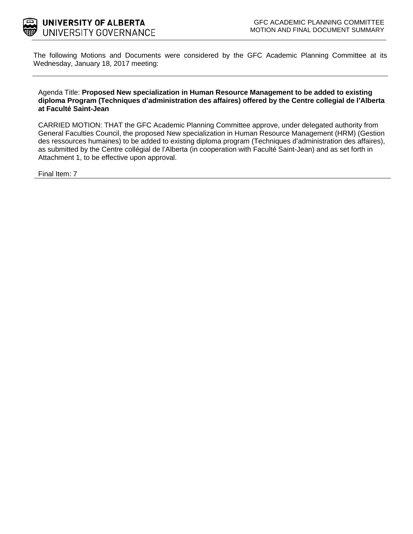

The following Motions and Documents were considered by the GFC Academic Planning Committee at its Wednesday, January 18, 2017 meeting:

Agenda Title: **Proposed New specialization in Human Resource Management to be added to existing diploma Program (Techniques d'administration des affaires) offered by the Centre collegial de l'Alberta at Faculté Saint-Jean**

CARRIED MOTION: THAT the GFC Academic Planning Committee approve, under delegated authority from General Faculties Council, the proposed New specialization in Human Resource Management (HRM) (Gestion des ressources humaines) to be added to existing diploma program (Techniques d'administration des affaires), as submitted by the Centre collégial de l'Alberta (in cooperation with Faculté Saint-Jean) and as set forth in Attachment 1, to be effective upon approval.

Final Item: [7](#page-1-0)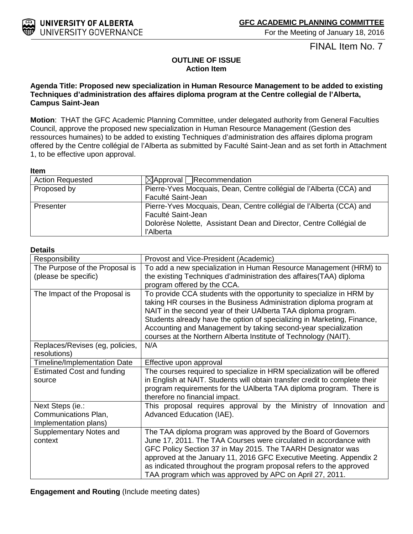For the Meeting of January 18, 2016

FINAL Item No. 7

### **OUTLINE OF ISSUE Action Item**

#### <span id="page-1-0"></span>**Agenda Title: Proposed new specialization in Human Resource Management to be added to existing Techniques d'administration des affaires diploma program at the Centre collegial de l'Alberta, Campus Saint-Jean**

**Motion**: THAT the GFC Academic Planning Committee, under delegated authority from General Faculties Council, approve the proposed new specialization in Human Resource Management (Gestion des ressources humaines) to be added to existing Techniques d'administration des affaires diploma program offered by the Centre collégial de l'Alberta as submitted by Faculté Saint-Jean and as set forth in Attachment 1, to be effective upon approval.

#### **Item**

| <b>Action Requested</b> | $\boxtimes$ Approval Recommendation                                 |  |  |
|-------------------------|---------------------------------------------------------------------|--|--|
| Proposed by             | Pierre-Yves Mocquais, Dean, Centre collégial de l'Alberta (CCA) and |  |  |
|                         | Faculté Saint-Jean                                                  |  |  |
| Presenter               | Pierre-Yves Mocquais, Dean, Centre collégial de l'Alberta (CCA) and |  |  |
|                         | Faculté Saint-Jean                                                  |  |  |
|                         | Dolorèse Nolette, Assistant Dean and Director, Centre Collégial de  |  |  |
|                         | l'Alberta                                                           |  |  |

#### **Details**

| Responsibility                                                    | Provost and Vice-President (Academic)                                                                                                                                                                                                                                                                                                                                                                                         |
|-------------------------------------------------------------------|-------------------------------------------------------------------------------------------------------------------------------------------------------------------------------------------------------------------------------------------------------------------------------------------------------------------------------------------------------------------------------------------------------------------------------|
| The Purpose of the Proposal is                                    | To add a new specialization in Human Resource Management (HRM) to                                                                                                                                                                                                                                                                                                                                                             |
| (please be specific)                                              | the existing Techniques d'administration des affaires(TAA) diploma<br>program offered by the CCA.                                                                                                                                                                                                                                                                                                                             |
| The Impact of the Proposal is                                     | To provide CCA students with the opportunity to specialize in HRM by<br>taking HR courses in the Business Administration diploma program at<br>NAIT in the second year of their UAIberta TAA diploma program.<br>Students already have the option of specializing in Marketing, Finance,<br>Accounting and Management by taking second-year specialization<br>courses at the Northern Alberta Institute of Technology (NAIT). |
| Replaces/Revises (eg, policies,<br>resolutions)                   | N/A                                                                                                                                                                                                                                                                                                                                                                                                                           |
| <b>Timeline/Implementation Date</b>                               | Effective upon approval                                                                                                                                                                                                                                                                                                                                                                                                       |
| <b>Estimated Cost and funding</b><br>source                       | The courses required to specialize in HRM specialization will be offered<br>in English at NAIT. Students will obtain transfer credit to complete their<br>program requirements for the UAIberta TAA diploma program. There is<br>therefore no financial impact.                                                                                                                                                               |
| Next Steps (ie.:<br>Communications Plan,<br>Implementation plans) | This proposal requires approval by the Ministry of Innovation and<br>Advanced Education (IAE).                                                                                                                                                                                                                                                                                                                                |
| Supplementary Notes and<br>context                                | The TAA diploma program was approved by the Board of Governors<br>June 17, 2011. The TAA Courses were circulated in accordance with<br>GFC Policy Section 37 in May 2015. The TAARH Designator was<br>approved at the January 11, 2016 GFC Executive Meeting. Appendix 2<br>as indicated throughout the program proposal refers to the approved<br>TAA program which was approved by APC on April 27, 2011.                   |

**Engagement and Routing** (Include meeting dates)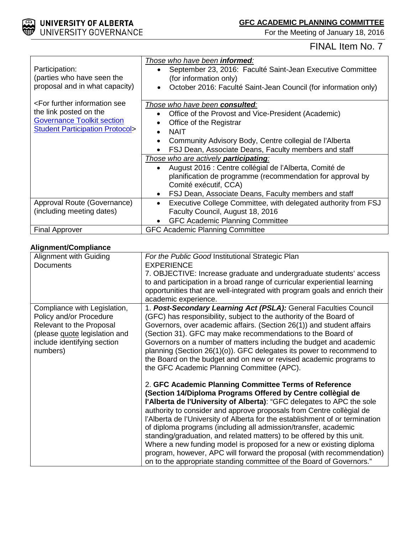

For the Meeting of January 18, 2016

## FINAL Item No. 7

| Participation:<br>(parties who have seen the<br>proposal and in what capacity)                                                                            | Those who have been <b>informed</b> :<br>September 23, 2016: Faculté Saint-Jean Executive Committee<br>(for information only)<br>October 2016: Faculté Saint-Jean Council (for information only)<br>$\bullet$                                               |
|-----------------------------------------------------------------------------------------------------------------------------------------------------------|-------------------------------------------------------------------------------------------------------------------------------------------------------------------------------------------------------------------------------------------------------------|
| <for further="" information="" see<br="">the link posted on the<br/><b>Governance Toolkit section</b><br/><b>Student Participation Protocol&gt;</b></for> | Those who have been consulted:<br>Office of the Provost and Vice-President (Academic)<br>Office of the Registrar<br><b>NAIT</b><br>Community Advisory Body, Centre collegial de l'Alberta<br>FSJ Dean, Associate Deans, Faculty members and staff           |
|                                                                                                                                                           | Those who are actively participating:<br>August 2016 : Centre collégial de l'Alberta, Comité de<br>planification de programme (recommendation for approval by<br>Comité exécutif, CCA)<br>FSJ Dean, Associate Deans, Faculty members and staff<br>$\bullet$ |
| Approval Route (Governance)<br>(including meeting dates)                                                                                                  | Executive College Committee, with delegated authority from FSJ<br>$\bullet$<br>Faculty Council, August 18, 2016<br><b>GFC Academic Planning Committee</b>                                                                                                   |
| <b>Final Approver</b>                                                                                                                                     | <b>GFC Academic Planning Committee</b>                                                                                                                                                                                                                      |

#### **Alignment/Compliance**

| <b>EXPERIENCE</b><br><b>Documents</b><br>7. OBJECTIVE: Increase graduate and undergraduate students' access<br>to and participation in a broad range of curricular experiential learning<br>opportunities that are well-integrated with program goals and enrich their<br>academic experience.<br>1. Post-Secondary Learning Act (PSLA): General Faculties Council<br>Compliance with Legislation,<br>(GFC) has responsibility, subject to the authority of the Board of<br>Policy and/or Procedure<br>Governors, over academic affairs. (Section 26(1)) and student affairs<br>Relevant to the Proposal<br>(Section 31). GFC may make recommendations to the Board of<br>(please guote legislation and<br>Governors on a number of matters including the budget and academic<br>include identifying section<br>planning (Section 26(1)(o)). GFC delegates its power to recommend to<br>numbers)<br>the Board on the budget and on new or revised academic programs to<br>the GFC Academic Planning Committee (APC).<br>2. GFC Academic Planning Committee Terms of Reference<br>(Section 14/Diploma Programs Offered by Centre collègial de<br>l'Alberta de l'University of Alberta): "GFC delegates to APC the sole<br>authority to consider and approve proposals from Centre collègial de<br>l'Alberta de l'University of Alberta for the establishment of or termination<br>of diploma programs (including all admission/transfer, academic<br>standing/graduation, and related matters) to be offered by this unit. |                               |                                                  |
|---------------------------------------------------------------------------------------------------------------------------------------------------------------------------------------------------------------------------------------------------------------------------------------------------------------------------------------------------------------------------------------------------------------------------------------------------------------------------------------------------------------------------------------------------------------------------------------------------------------------------------------------------------------------------------------------------------------------------------------------------------------------------------------------------------------------------------------------------------------------------------------------------------------------------------------------------------------------------------------------------------------------------------------------------------------------------------------------------------------------------------------------------------------------------------------------------------------------------------------------------------------------------------------------------------------------------------------------------------------------------------------------------------------------------------------------------------------------------------------------------------------------------|-------------------------------|--------------------------------------------------|
|                                                                                                                                                                                                                                                                                                                                                                                                                                                                                                                                                                                                                                                                                                                                                                                                                                                                                                                                                                                                                                                                                                                                                                                                                                                                                                                                                                                                                                                                                                                           | <b>Alignment with Guiding</b> | For the Public Good Institutional Strategic Plan |
|                                                                                                                                                                                                                                                                                                                                                                                                                                                                                                                                                                                                                                                                                                                                                                                                                                                                                                                                                                                                                                                                                                                                                                                                                                                                                                                                                                                                                                                                                                                           |                               |                                                  |
|                                                                                                                                                                                                                                                                                                                                                                                                                                                                                                                                                                                                                                                                                                                                                                                                                                                                                                                                                                                                                                                                                                                                                                                                                                                                                                                                                                                                                                                                                                                           |                               |                                                  |
|                                                                                                                                                                                                                                                                                                                                                                                                                                                                                                                                                                                                                                                                                                                                                                                                                                                                                                                                                                                                                                                                                                                                                                                                                                                                                                                                                                                                                                                                                                                           |                               |                                                  |
|                                                                                                                                                                                                                                                                                                                                                                                                                                                                                                                                                                                                                                                                                                                                                                                                                                                                                                                                                                                                                                                                                                                                                                                                                                                                                                                                                                                                                                                                                                                           |                               |                                                  |
|                                                                                                                                                                                                                                                                                                                                                                                                                                                                                                                                                                                                                                                                                                                                                                                                                                                                                                                                                                                                                                                                                                                                                                                                                                                                                                                                                                                                                                                                                                                           |                               |                                                  |
|                                                                                                                                                                                                                                                                                                                                                                                                                                                                                                                                                                                                                                                                                                                                                                                                                                                                                                                                                                                                                                                                                                                                                                                                                                                                                                                                                                                                                                                                                                                           |                               |                                                  |
|                                                                                                                                                                                                                                                                                                                                                                                                                                                                                                                                                                                                                                                                                                                                                                                                                                                                                                                                                                                                                                                                                                                                                                                                                                                                                                                                                                                                                                                                                                                           |                               |                                                  |
|                                                                                                                                                                                                                                                                                                                                                                                                                                                                                                                                                                                                                                                                                                                                                                                                                                                                                                                                                                                                                                                                                                                                                                                                                                                                                                                                                                                                                                                                                                                           |                               |                                                  |
|                                                                                                                                                                                                                                                                                                                                                                                                                                                                                                                                                                                                                                                                                                                                                                                                                                                                                                                                                                                                                                                                                                                                                                                                                                                                                                                                                                                                                                                                                                                           |                               |                                                  |
|                                                                                                                                                                                                                                                                                                                                                                                                                                                                                                                                                                                                                                                                                                                                                                                                                                                                                                                                                                                                                                                                                                                                                                                                                                                                                                                                                                                                                                                                                                                           |                               |                                                  |
|                                                                                                                                                                                                                                                                                                                                                                                                                                                                                                                                                                                                                                                                                                                                                                                                                                                                                                                                                                                                                                                                                                                                                                                                                                                                                                                                                                                                                                                                                                                           |                               |                                                  |
|                                                                                                                                                                                                                                                                                                                                                                                                                                                                                                                                                                                                                                                                                                                                                                                                                                                                                                                                                                                                                                                                                                                                                                                                                                                                                                                                                                                                                                                                                                                           |                               |                                                  |
|                                                                                                                                                                                                                                                                                                                                                                                                                                                                                                                                                                                                                                                                                                                                                                                                                                                                                                                                                                                                                                                                                                                                                                                                                                                                                                                                                                                                                                                                                                                           |                               |                                                  |
|                                                                                                                                                                                                                                                                                                                                                                                                                                                                                                                                                                                                                                                                                                                                                                                                                                                                                                                                                                                                                                                                                                                                                                                                                                                                                                                                                                                                                                                                                                                           |                               |                                                  |
|                                                                                                                                                                                                                                                                                                                                                                                                                                                                                                                                                                                                                                                                                                                                                                                                                                                                                                                                                                                                                                                                                                                                                                                                                                                                                                                                                                                                                                                                                                                           |                               |                                                  |
|                                                                                                                                                                                                                                                                                                                                                                                                                                                                                                                                                                                                                                                                                                                                                                                                                                                                                                                                                                                                                                                                                                                                                                                                                                                                                                                                                                                                                                                                                                                           |                               |                                                  |
|                                                                                                                                                                                                                                                                                                                                                                                                                                                                                                                                                                                                                                                                                                                                                                                                                                                                                                                                                                                                                                                                                                                                                                                                                                                                                                                                                                                                                                                                                                                           |                               |                                                  |
|                                                                                                                                                                                                                                                                                                                                                                                                                                                                                                                                                                                                                                                                                                                                                                                                                                                                                                                                                                                                                                                                                                                                                                                                                                                                                                                                                                                                                                                                                                                           |                               |                                                  |
|                                                                                                                                                                                                                                                                                                                                                                                                                                                                                                                                                                                                                                                                                                                                                                                                                                                                                                                                                                                                                                                                                                                                                                                                                                                                                                                                                                                                                                                                                                                           |                               |                                                  |
|                                                                                                                                                                                                                                                                                                                                                                                                                                                                                                                                                                                                                                                                                                                                                                                                                                                                                                                                                                                                                                                                                                                                                                                                                                                                                                                                                                                                                                                                                                                           |                               |                                                  |
|                                                                                                                                                                                                                                                                                                                                                                                                                                                                                                                                                                                                                                                                                                                                                                                                                                                                                                                                                                                                                                                                                                                                                                                                                                                                                                                                                                                                                                                                                                                           |                               |                                                  |
|                                                                                                                                                                                                                                                                                                                                                                                                                                                                                                                                                                                                                                                                                                                                                                                                                                                                                                                                                                                                                                                                                                                                                                                                                                                                                                                                                                                                                                                                                                                           |                               |                                                  |
|                                                                                                                                                                                                                                                                                                                                                                                                                                                                                                                                                                                                                                                                                                                                                                                                                                                                                                                                                                                                                                                                                                                                                                                                                                                                                                                                                                                                                                                                                                                           |                               |                                                  |
| Where a new funding model is proposed for a new or existing diploma                                                                                                                                                                                                                                                                                                                                                                                                                                                                                                                                                                                                                                                                                                                                                                                                                                                                                                                                                                                                                                                                                                                                                                                                                                                                                                                                                                                                                                                       |                               |                                                  |
| program, however, APC will forward the proposal (with recommendation)                                                                                                                                                                                                                                                                                                                                                                                                                                                                                                                                                                                                                                                                                                                                                                                                                                                                                                                                                                                                                                                                                                                                                                                                                                                                                                                                                                                                                                                     |                               |                                                  |
| on to the appropriate standing committee of the Board of Governors."                                                                                                                                                                                                                                                                                                                                                                                                                                                                                                                                                                                                                                                                                                                                                                                                                                                                                                                                                                                                                                                                                                                                                                                                                                                                                                                                                                                                                                                      |                               |                                                  |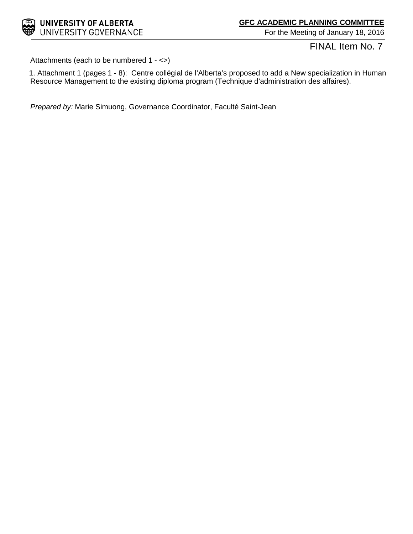

For the Meeting of January 18, 2016

FINAL Item No. 7

Attachments (each to be numbered 1 - <>)

1. Attachment 1 (pages 1 - 8): Centre collégial de l'Alberta's proposed to add a New specialization in Human Resource Management to the existing diploma program (Technique d'administration des affaires).

*Prepared by:* Marie Simuong, Governance Coordinator, Faculté Saint-Jean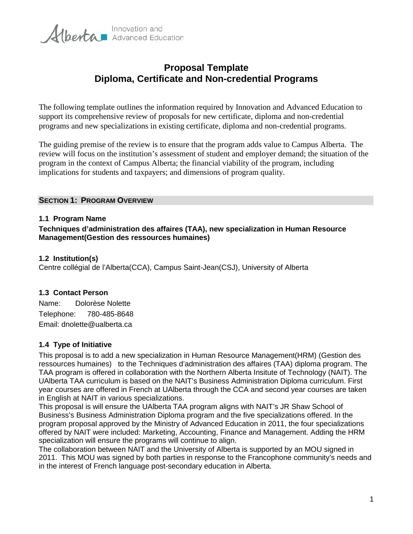

## **Proposal Template Diploma, Certificate and Non-credential Programs**

The following template outlines the information required by Innovation and Advanced Education to support its comprehensive review of proposals for new certificate, diploma and non-credential programs and new specializations in existing certificate, diploma and non-credential programs.

The guiding premise of the review is to ensure that the program adds value to Campus Alberta. The review will focus on the institution's assessment of student and employer demand; the situation of the program in the context of Campus Alberta; the financial viability of the program, including implications for students and taxpayers; and dimensions of program quality.

#### **SECTION 1: PROGRAM OVERVIEW**

#### **1.1 Program Name**

**Techniques d'administration des affaires (TAA), new specialization in Human Resource Management(Gestion des ressources humaines)**

#### **1.2 Institution(s)**

Centre collégial de l'Alberta(CCA), Campus Saint-Jean(CSJ), University of Alberta

#### **1.3 Contact Person**

Name: Dolorèse Nolette Telephone: 780-485-8648 Email: dnolette@ualberta.ca

#### **1.4 Type of Initiative**

This proposal is to add a new specialization in Human Resource Management(HRM) (Gestion des ressources humaines) to the Techniques d'administration des affaires (TAA) diploma program. The TAA program is offered in collaboration with the Northern Alberta Insitute of Technology (NAIT). The UAlberta TAA curriculum is based on the NAIT's Business Administration Diploma curriculum. First year courses are offered in French at UAlberta through the CCA and second year courses are taken in English at NAIT in various specializations.

This proposal is will ensure the UAlberta TAA program aligns with NAIT's JR Shaw School of Business's Business Administration Diploma program and the five specializations offered. In the program proposal approved by the Ministry of Advanced Education in 2011, the four specializations offered by NAIT were included: Marketing, Accounting, Finance and Management. Adding the HRM specialization will ensure the programs will continue to align.

The collaboration between NAIT and the University of Alberta is supported by an MOU signed in 2011. This MOU was signed by both parties in response to the Francophone community's needs and in the interest of French language post-secondary education in Alberta.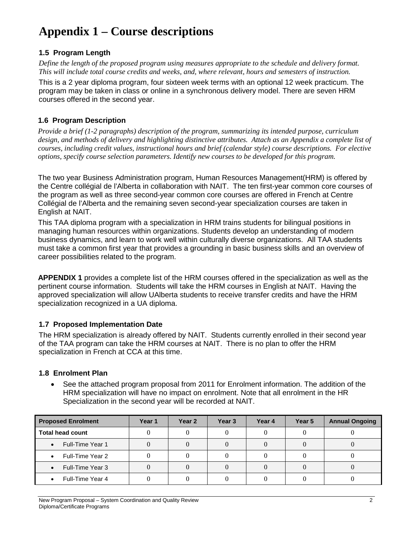## **1.5 Program Length**

*Define the length of the proposed program using measures appropriate to the schedule and delivery format. This will include total course credits and weeks, and, where relevant, hours and semesters of instruction.*

This is a 2 year diploma program, four sixteen week terms with an optional 12 week practicum. The program may be taken in class or online in a synchronous delivery model. There are seven HRM courses offered in the second year.

## **1.6 Program Description**

*Provide a brief (1-2 paragraphs) description of the program, summarizing its intended purpose, curriculum design, and methods of delivery and highlighting distinctive attributes. Attach as an Appendix a complete list of courses, including credit values, instructional hours and brief (calendar style) course descriptions. For elective options, specify course selection parameters. Identify new courses to be developed for this program.* 

The two year Business Administration program, Human Resources Management(HRM) is offered by the Centre collégial de l'Alberta in collaboration with NAIT. The ten first-year common core courses of the program as well as three second-year common core courses are offered in French at Centre Collégial de l'Alberta and the remaining seven second-year specialization courses are taken in English at NAIT.

This TAA diploma program with a specialization in HRM trains students for bilingual positions in managing human resources within organizations. Students develop an understanding of modern business dynamics, and learn to work well within culturally diverse organizations. All TAA students must take a common first year that provides a grounding in basic business skills and an overview of career possibilities related to the program.

**APPENDIX 1** provides a complete list of the HRM courses offered in the specialization as well as the pertinent course information. Students will take the HRM courses in English at NAIT. Having the approved specialization will allow UAlberta students to receive transfer credits and have the HRM specialization recognized in a UA diploma.

## **1.7 Proposed Implementation Date**

The HRM specialization is already offered by NAIT. Students currently enrolled in their second year of the TAA program can take the HRM courses at NAIT. There is no plan to offer the HRM specialization in French at CCA at this time.

## **1.8 Enrolment Plan**

• See the attached program proposal from 2011 for Enrolment information. The addition of the HRM specialization will have no impact on enrolment. Note that all enrolment in the HR Specialization in the second year will be recorded at NAIT.

| <b>Proposed Enrolment</b>     | Year 1 | Year 2 | Year 3 | Year 4 | Year 5 | <b>Annual Ongoing</b> |
|-------------------------------|--------|--------|--------|--------|--------|-----------------------|
| <b>Total head count</b>       |        |        |        |        |        |                       |
| Full-Time Year 1<br>$\bullet$ |        |        |        |        |        |                       |
| Full-Time Year 2<br>$\bullet$ |        |        |        |        |        |                       |
| Full-Time Year 3<br>$\bullet$ |        |        |        |        |        |                       |
| Full-Time Year 4<br>$\bullet$ |        |        |        |        |        |                       |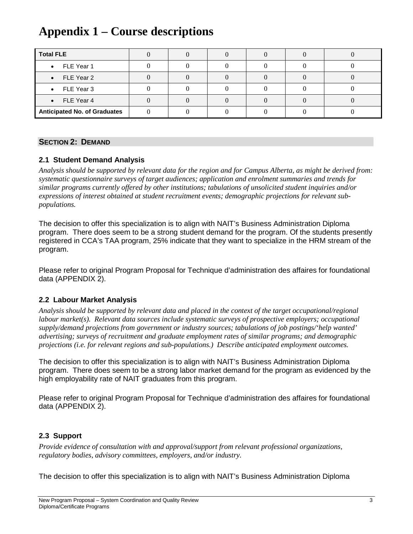| <b>Total FLE</b>                    |  |  |  |
|-------------------------------------|--|--|--|
| $\bullet$ FLE Year 1                |  |  |  |
| $\bullet$ FLE Year 2                |  |  |  |
| $\bullet$ FLE Year 3                |  |  |  |
| $\bullet$ FLE Year 4                |  |  |  |
| <b>Anticipated No. of Graduates</b> |  |  |  |

#### **SECTION 2: DEMAND**

### **2.1 Student Demand Analysis**

*Analysis should be supported by relevant data for the region and for Campus Alberta, as might be derived from: systematic questionnaire surveys of target audiences; application and enrolment summaries and trends for similar programs currently offered by other institutions; tabulations of unsolicited student inquiries and/or expressions of interest obtained at student recruitment events; demographic projections for relevant subpopulations.*

The decision to offer this specialization is to align with NAIT's Business Administration Diploma program. There does seem to be a strong student demand for the program. Of the students presently registered in CCA's TAA program, 25% indicate that they want to specialize in the HRM stream of the program.

Please refer to original Program Proposal for Technique d'administration des affaires for foundational data (APPENDIX 2).

#### **2.2 Labour Market Analysis**

*Analysis should be supported by relevant data and placed in the context of the target occupational/regional labour market(s). Relevant data sources include systematic surveys of prospective employers; occupational supply/demand projections from government or industry sources; tabulations of job postings/'help wanted' advertising; surveys of recruitment and graduate employment rates of similar programs; and demographic projections (i.e. for relevant regions and sub-populations.) Describe anticipated employment outcomes.*

The decision to offer this specialization is to align with NAIT's Business Administration Diploma program. There does seem to be a strong labor market demand for the program as evidenced by the high employability rate of NAIT graduates from this program.

Please refer to original Program Proposal for Technique d'administration des affaires for foundational data (APPENDIX 2).

## **2.3 Support**

*Provide evidence of consultation with and approval/support from relevant professional organizations, regulatory bodies, advisory committees, employers, and/or industry.*

The decision to offer this specialization is to align with NAIT's Business Administration Diploma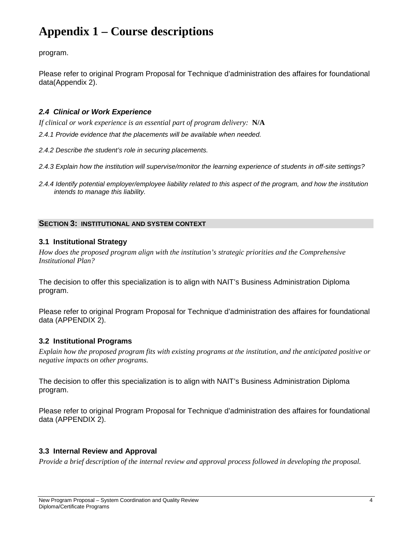program.

Please refer to original Program Proposal for Technique d'administration des affaires for foundational data(Appendix 2).

## *2.4 Clinical or Work Experience*

*If clinical or work experience is an essential part of program delivery:* **N/A**

*2.4.1 Provide evidence that the placements will be available when needed.*

*2.4.2 Describe the student's role in securing placements.*

- *2.4.3 Explain how the institution will supervise/monitor the learning experience of students in off-site settings?*
- *2.4.4 Identify potential employer/employee liability related to this aspect of the program, and how the institution intends to manage this liability.*

## **SECTION 3: INSTITUTIONAL AND SYSTEM CONTEXT**

## **3.1 Institutional Strategy**

*How does the proposed program align with the institution's strategic priorities and the Comprehensive Institutional Plan?*

The decision to offer this specialization is to align with NAIT's Business Administration Diploma program.

Please refer to original Program Proposal for Technique d'administration des affaires for foundational data (APPENDIX 2).

## **3.2 Institutional Programs**

*Explain how the proposed program fits with existing programs at the institution, and the anticipated positive or negative impacts on other programs.*

The decision to offer this specialization is to align with NAIT's Business Administration Diploma program.

Please refer to original Program Proposal for Technique d'administration des affaires for foundational data (APPENDIX 2).

## **3.3 Internal Review and Approval**

*Provide a brief description of the internal review and approval process followed in developing the proposal.*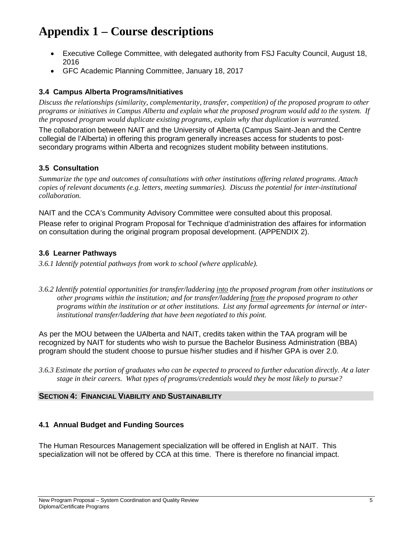- Executive College Committee, with delegated authority from FSJ Faculty Council, August 18, 2016
- GFC Academic Planning Committee, January 18, 2017

## **3.4 Campus Alberta Programs/Initiatives**

*Discuss the relationships (similarity, complementarity, transfer, competition) of the proposed program to other programs or initiatives in Campus Alberta and explain what the proposed program would add to the system. If the proposed program would duplicate existing programs, explain why that duplication is warranted.* 

The collaboration between NAIT and the University of Alberta (Campus Saint-Jean and the Centre collegial de l'Alberta) in offering this program generally increases access for students to postsecondary programs within Alberta and recognizes student mobility between institutions.

## **3.5 Consultation**

*Summarize the type and outcomes of consultations with other institutions offering related programs. Attach copies of relevant documents (e.g. letters, meeting summaries). Discuss the potential for inter-institutional collaboration.* 

NAIT and the CCA's Community Advisory Committee were consulted about this proposal.

Please refer to original Program Proposal for Technique d'administration des affaires for information on consultation during the original program proposal development. (APPENDIX 2).

### **3.6 Learner Pathways**

*3.6.1 Identify potential pathways from work to school (where applicable).*

*3.6.2 Identify potential opportunities for transfer/laddering into the proposed program from other institutions or other programs within the institution; and for transfer/laddering from the proposed program to other programs within the institution or at other institutions. List any formal agreements for internal or interinstitutional transfer/laddering that have been negotiated to this point.*

As per the MOU between the UAlberta and NAIT, credits taken within the TAA program will be recognized by NAIT for students who wish to pursue the Bachelor Business Administration (BBA) program should the student choose to pursue his/her studies and if his/her GPA is over 2.0.

*3.6.3 Estimate the portion of graduates who can be expected to proceed to further education directly. At a later stage in their careers. What types of programs/credentials would they be most likely to pursue?* 

#### **SECTION 4: FINANCIAL VIABILITY AND SUSTAINABILITY**

### **4.1 Annual Budget and Funding Sources**

The Human Resources Management specialization will be offered in English at NAIT. This specialization will not be offered by CCA at this time. There is therefore no financial impact.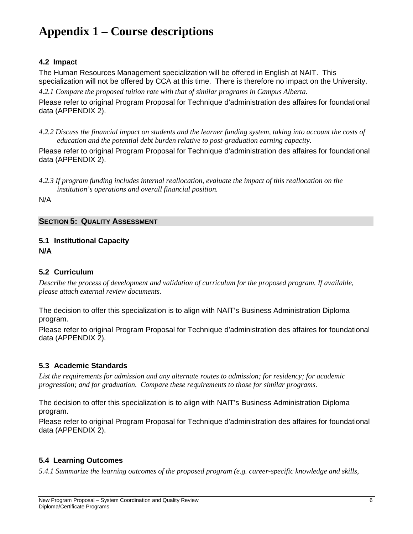### **4.2 Impact**

The Human Resources Management specialization will be offered in English at NAIT. This specialization will not be offered by CCA at this time. There is therefore no impact on the University.

*4.2.1 Compare the proposed tuition rate with that of similar programs in Campus Alberta.*

Please refer to original Program Proposal for Technique d'administration des affaires for foundational data (APPENDIX 2).

*4.2.2 Discuss the financial impact on students and the learner funding system, taking into account the costs of education and the potential debt burden relative to post-graduation earning capacity.*

Please refer to original Program Proposal for Technique d'administration des affaires for foundational data (APPENDIX 2).

*4.2.3 If program funding includes internal reallocation, evaluate the impact of this reallocation on the institution's operations and overall financial position.*

N/A

#### **SECTION 5: QUALITY ASSESSMENT**

#### **5.1 Institutional Capacity N/A**

#### **5.2 Curriculum**

*Describe the process of development and validation of curriculum for the proposed program. If available, please attach external review documents.*

The decision to offer this specialization is to align with NAIT's Business Administration Diploma program.

Please refer to original Program Proposal for Technique d'administration des affaires for foundational data (APPENDIX 2).

## **5.3 Academic Standards**

*List the requirements for admission and any alternate routes to admission; for residency; for academic progression; and for graduation. Compare these requirements to those for similar programs.*

The decision to offer this specialization is to align with NAIT's Business Administration Diploma program.

Please refer to original Program Proposal for Technique d'administration des affaires for foundational data (APPENDIX 2).

## **5.4 Learning Outcomes**

*5.4.1 Summarize the learning outcomes of the proposed program (e.g. career-specific knowledge and skills,*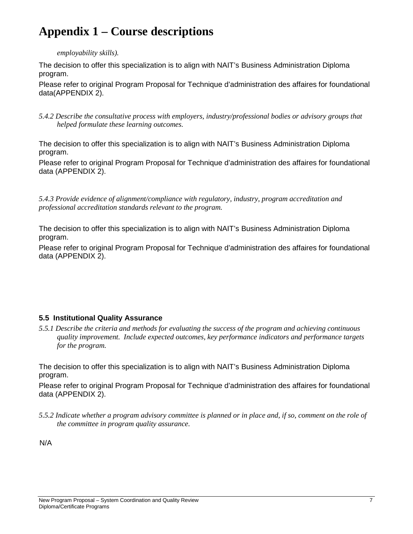*employability skills).* 

The decision to offer this specialization is to align with NAIT's Business Administration Diploma program.

Please refer to original Program Proposal for Technique d'administration des affaires for foundational data(APPENDIX 2).

*5.4.2 Describe the consultative process with employers, industry/professional bodies or advisory groups that helped formulate these learning outcomes.*

The decision to offer this specialization is to align with NAIT's Business Administration Diploma program.

Please refer to original Program Proposal for Technique d'administration des affaires for foundational data (APPENDIX 2).

*5.4.3 Provide evidence of alignment/compliance with regulatory, industry, program accreditation and professional accreditation standards relevant to the program.*

The decision to offer this specialization is to align with NAIT's Business Administration Diploma program.

Please refer to original Program Proposal for Technique d'administration des affaires for foundational data (APPENDIX 2).

## **5.5 Institutional Quality Assurance**

*5.5.1 Describe the criteria and methods for evaluating the success of the program and achieving continuous quality improvement. Include expected outcomes, key performance indicators and performance targets for the program.* 

The decision to offer this specialization is to align with NAIT's Business Administration Diploma program.

Please refer to original Program Proposal for Technique d'administration des affaires for foundational data (APPENDIX 2).

*5.5.2 Indicate whether a program advisory committee is planned or in place and, if so, comment on the role of the committee in program quality assurance.* 

N/A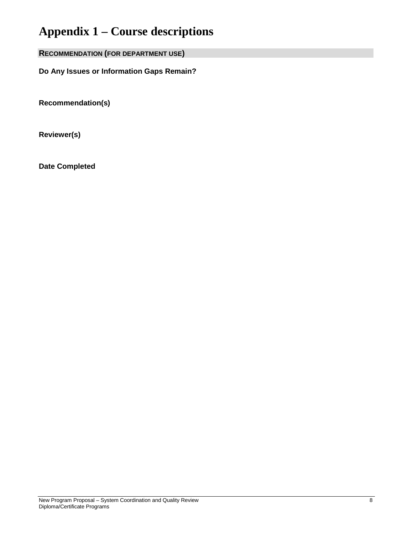**RECOMMENDATION (FOR DEPARTMENT USE)**

**Do Any Issues or Information Gaps Remain?**

**Recommendation(s)**

**Reviewer(s)**

**Date Completed**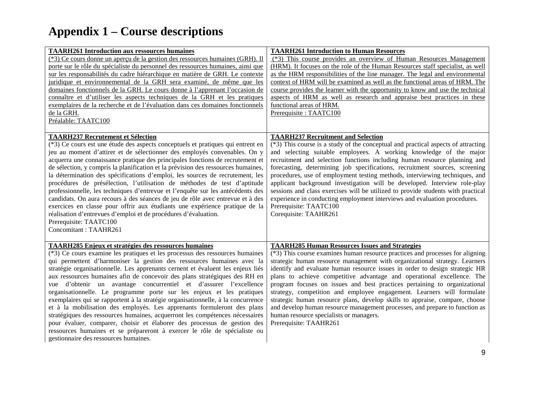| <b>TAARH261 Introduction aux ressources humaines</b><br>(*3) Ce cours donne un aperçu de la gestion des ressources humaines (GRH). Il<br>porte sur le rôle du spécialiste du personnel des ressources humaines, ainsi que<br>sur les responsabilités du cadre hiérarchique en matière de GRH. Le contexte<br>juridique et environnemental de la GRH sera examiné, de même que les<br>domaines fonctionnels de la GRH. Le cours donne à l'apprenant l'occasion de<br>connaître et d'utiliser les aspects techniques de la GRH et les pratiques<br>exemplaires de la recherche et de l'évaluation dans ces domaines fonctionnels<br>de la GRH.<br>Préalable: TAATC100<br><b>TAARH237 Recrutement et Sélection</b>                                                                                                                                                                                                                                                                        | <b>TAARH261 Introduction to Human Resources</b><br>(*3) This course provides an overview of Human Resources Management<br>(HRM). It focuses on the role of the Human Resources staff specialist, as well<br>as the HRM responsibilities of the line manager. The legal and environmental<br>context of HRM will be examined as well as the functional areas of HRM. The<br>course provides the learner with the opportunity to know and use the technical<br>aspects of HRM as well as research and appraise best practices in these<br>functional areas of HRM.<br>Prerequisite: TAATC100<br><b>TAARH237 Recruitment and Selection</b>                                                                                                                                 |
|----------------------------------------------------------------------------------------------------------------------------------------------------------------------------------------------------------------------------------------------------------------------------------------------------------------------------------------------------------------------------------------------------------------------------------------------------------------------------------------------------------------------------------------------------------------------------------------------------------------------------------------------------------------------------------------------------------------------------------------------------------------------------------------------------------------------------------------------------------------------------------------------------------------------------------------------------------------------------------------|-------------------------------------------------------------------------------------------------------------------------------------------------------------------------------------------------------------------------------------------------------------------------------------------------------------------------------------------------------------------------------------------------------------------------------------------------------------------------------------------------------------------------------------------------------------------------------------------------------------------------------------------------------------------------------------------------------------------------------------------------------------------------|
| (*3) Ce cours est une étude des aspects conceptuels et pratiques qui entrent en<br>jeu au moment d'attirer et de sélectionner des employés convenables. On y<br>acquerra une connaissance pratique des principales fonctions de recrutement et<br>de sélection, y compris la planification et la prévision des ressources humaines,<br>la détermination des spécifications d'emploi, les sources de recrutement, les<br>procédures de présélection, l'utilisation de méthodes de test d'aptitude<br>professionnelle, les techniques d'entrevue et l'enquête sur les antécédents des<br>candidats. On aura recours à des séances de jeu de rôle avec entrevue et à des<br>exercices en classe pour offrir aux étudiants une expérience pratique de la<br>réalisation d'entrevues d'emploi et de procédures d'évaluation.<br>Prerequisite: TAATC100<br>Concomitant: TAAHR261                                                                                                             | (*3) This course is a study of the conceptual and practical aspects of attracting<br>and selecting suitable employees. A working knowledge of the major<br>recruitment and selection functions including human resource planning and<br>forecasting, determining job specifications, recruitment sources, screening<br>procedures, use of employment testing methods, interviewing techniques, and<br>applicant background investigation will be developed. Interview role-play<br>sessions and class exercises will be utilized to provide students with practical<br>experience in conducting employment interviews and evaluation procedures.<br>Prerequisite: TAATC100<br>Corequisite: TAAHR261                                                                     |
| <b>TAARH285 Enjeux et stratégies des ressources humaines</b><br>(*3) Ce cours examine les pratiques et les processus des ressources humaines<br>qui permettent d'harmoniser la gestion des ressources humaines avec la<br>stratégie organisationnelle. Les apprenants cernent et évaluent les enjeux liés<br>aux ressources humaines afin de concevoir des plans stratégiques des RH en<br>vue d'obtenir un avantage concurrentiel et d'assurer l'excellence<br>organisationnelle. Le programme porte sur les enjeux et les pratiques<br>exemplaires qui se rapportent à la stratégie organisationnelle, à la concurrence<br>et à la mobilisation des employés. Les apprenants formuleront des plans<br>stratégiques des ressources humaines, acquerront les compétences nécessaires<br>pour évaluer, comparer, choisir et élaborer des processus de gestion des<br>ressources humaines et se prépareront à exercer le rôle de spécialiste ou<br>gestionnaire des ressources humaines. | <b>TAARH285 Human Resources Issues and Strategies</b><br>(*3) This course examines human resource practices and processes for aligning<br>strategic human resource management with organizational strategy. Learners<br>identify and evaluate human resource issues in order to design strategic HR<br>plans to achieve competitive advantage and operational excellence. The<br>program focuses on issues and best practices pertaining to organizational<br>strategy, competition and employee engagement. Learners will formulate<br>strategic human resource plans, develop skills to appraise, compare, choose<br>and develop human resource management processes, and prepare to function as<br>human resource specialists or managers.<br>Prerequisite: TAAHR261 |